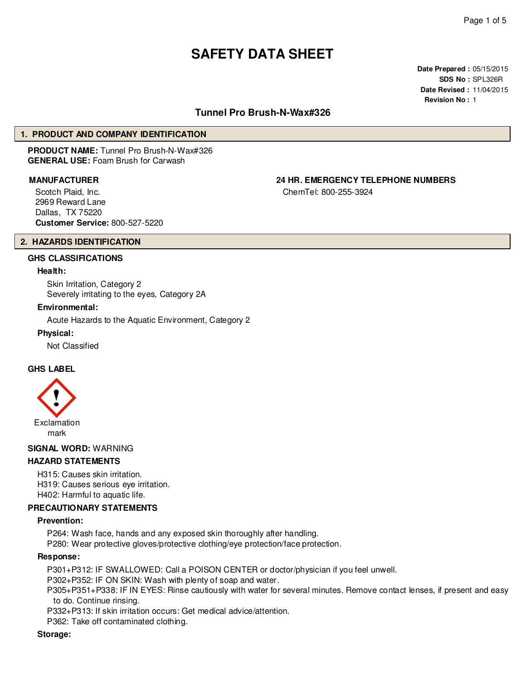# **SAFETY DATA SHEET**

**Date Prepared :** 05/15/2015 **SDS No :** SPL326R **Date Revised :** 11/04/2015 **Revision No :** 1

# **Tunnel Pro Brush-N-Wax#326**

#### **1. PRODUCT AND COMPANY IDENTIFICATION**

**PRODUCT NAME:** Tunnel Pro Brush-N-Wax#326 **GENERAL USE:** Foam Brush for Carwash

Scotch Plaid, Inc. 2969 Reward Lane Dallas, TX 75220 **Customer Service:** 800-527-5220

**MANUFACTURER 24 HR. EMERGENCY TELEPHONE NUMBERS**

ChemTel: 800-255-3924

# **2. HAZARDS IDENTIFICATION**

# **GHS CLASSIFICATIONS**

#### **Health:**

Skin Irritation, Category 2 Severely irritating to the eyes, Category 2A

#### **Environmental:**

Acute Hazards to the Aquatic Environment, Category 2

#### **Physical:**

Not Classified

#### **GHS LABEL**



#### **SIGNAL WORD:** WARNING

#### **HAZARD STATEMENTS**

H315: Causes skin irritation. H319: Causes serious eye irritation. H402: Harmful to aquatic life.

#### **PRECAUTIONARY STATEMENTS**

#### **Prevention:**

P264: Wash face, hands and any exposed skin thoroughly after handling.

P280: Wear protective gloves/protective clothing/eye protection/face protection.

#### **Response:**

P301+P312: IF SWALLOWED: Call a POISON CENTER or doctor/physician if you feel unwell.

P302+P352: IF ON SKIN: Wash with plenty of soap and water.

P305+P351+P338: IF IN EYES: Rinse cautiously with water for several minutes. Remove contact lenses, if present and easy to do. Continue rinsing.

P332+P313: If skin irritation occurs: Get medical advice/attention.

P362: Take off contaminated clothing.

#### **Storage:**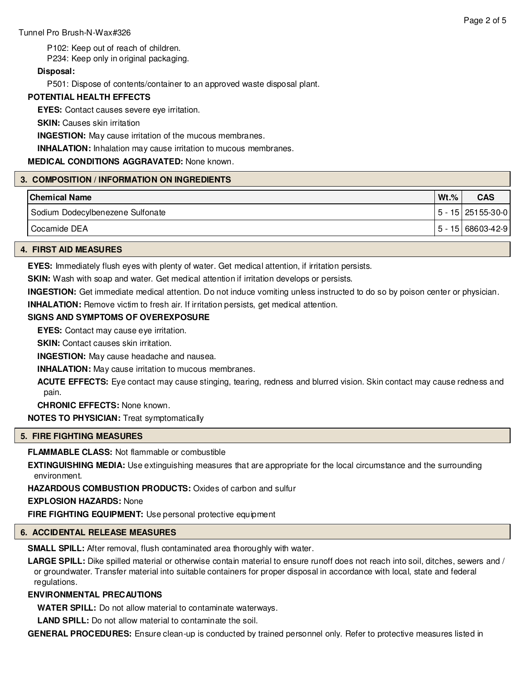P102: Keep out of reach of children.

P234: Keep only in original packaging.

# **Disposal:**

P501: Dispose of contents/container to an approved waste disposal plant.

# **POTENTIAL HEALTH EFFECTS**

**EYES:** Contact causes severe eye irritation.

**SKIN:** Causes skin irritation

**INGESTION:** May cause irritation of the mucous membranes.

**INHALATION:** Inhalation may cause irritation to mucous membranes.

# **MEDICAL CONDITIONS AGGRAVATED:** None known.

# **3. COMPOSITION / INFORMATION ON INGREDIENTS**

| <b>Chemical Name</b>             | $Wt.\%$ | <b>CAS</b>             |
|----------------------------------|---------|------------------------|
| Sodium Dodecylbenezene Sulfonate |         | l 5 - 15 l 251 55-30-0 |
| <sup>I</sup> Cocamide DEA        |         | l 5 - 15 l 68603-42-9  |

#### **4. FIRST AID MEASURES**

**EYES:** Immediately flush eyes with plenty of water. Get medical attention, if irritation persists.

**SKIN:** Wash with soap and water. Get medical attention if irritation develops or persists.

**INGESTION:** Get immediate medical attention. Do not induce vomiting unless instructed to do so by poison center or physician.

**INHALATION:** Remove victim to fresh air. If irritation persists, get medical attention.

# **SIGNS AND SYMPTOMS OF OVEREXPOSURE**

**EYES:** Contact may cause eye irritation.

**SKIN:** Contact causes skin irritation.

**INGESTION:** May cause headache and nausea.

**INHALATION:** May cause irritation to mucous membranes.

**ACUTE EFFECTS:** Eye contact may cause stinging, tearing, redness and blurred vision. Skin contact may cause redness and pain.

**CHRONIC EFFECTS:** None known.

**NOTES TO PHYSICIAN:** Treat symptomatically

#### **5. FIRE FIGHTING MEASURES**

**FLAMMABLE CLASS:** Not flammable or combustible

**EXTINGUISHING MEDIA:** Use extinguishing measures that are appropriate for the local circumstance and the surrounding environment.

**HAZARDOUS COMBUSTION PRODUCTS:** Oxides of carbon and sulfur

**EXPLOSION HAZARDS:** None

**FIRE FIGHTING EQUIPMENT:** Use personal protective equipment

#### **6. ACCIDENTAL RELEASE MEASURES**

**SMALL SPILL:** After removal, flush contaminated area thoroughly with water.

**LARGE SPILL:** Dike spilled material or otherwise contain material to ensure runoff does not reach into soil, ditches, sewers and / or groundwater. Transfer material into suitable containers for proper disposal in accordance with local, state and federal regulations.

# **ENVIRONMENTAL PRECAUTIONS**

**WATER SPILL:** Do not allow material to contaminate waterways.

**LAND SPILL:** Do not allow material to contaminate the soil.

**GENERAL PROCEDURES:** Ensure clean-up is conducted by trained personnel only. Refer to protective measures listed in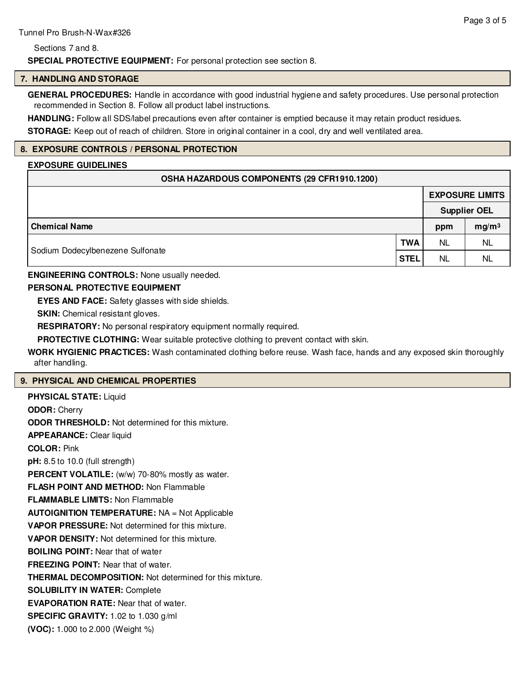#### Sections 7 and 8.

**SPECIAL PROTECTIVE EQUIPMENT:** For personal protection see section 8.

#### **7. HANDLING AND STORAGE**

**GENERAL PROCEDURES:** Handle in accordance with good industrial hygiene and safety procedures. Use personal protection recommended in Section 8. Follow all product label instructions.

**HANDLING:** Follow all SDS/label precautions even after container is emptied because it may retain product residues.

**STORAGE:** Keep out of reach of children. Store in original container in a cool, dry and well ventilated area.

# **8. EXPOSURE CONTROLS / PERSONAL PROTECTION**

# **EXPOSURE GUIDELINES**

# **OSHA HAZARDOUS COMPONENTS (29 CFR1910.1200)**

|                                  |             | <b>EXPOSURE LIMITS</b> |                     |  |
|----------------------------------|-------------|------------------------|---------------------|--|
|                                  |             |                        | <b>Supplier OEL</b> |  |
| <b>Chemical Name</b>             |             | ppm                    | mg/m <sup>3</sup>   |  |
|                                  | <b>TWA</b>  | <b>NL</b>              | NL                  |  |
| Sodium Dodecylbenezene Sulfonate | <b>STEL</b> | <b>NL</b>              | <b>NL</b>           |  |

# **ENGINEERING CONTROLS:** None usually needed.

# **PERSONAL PROTECTIVE EQUIPMENT**

**EYES AND FACE:** Safety glasses with side shields.

**SKIN:** Chemical resistant gloves.

**RESPIRATORY:** No personal respiratory equipment normally required.

**PROTECTIVE CLOTHING:** Wear suitable protective clothing to prevent contact with skin.

**WORK HYGIENIC PRACTICES:** Wash contaminated clothing before reuse. Wash face, hands and any exposed skin thoroughly after handling.

# **9. PHYSICAL AND CHEMICAL PROPERTIES**

**PHYSICAL STATE:** Liquid **ODOR:** Cherry **ODOR THRESHOLD:** Not determined for this mixture. **APPEARANCE:** Clear liquid **COLOR:** Pink **pH:** 8.5 to 10.0 (full strength) **PERCENT VOLATILE:** (w/w) 70-80% mostly as water. **FLASH POINT AND METHOD:** Non Flammable **FLAMMABLE LIMITS:** Non Flammable **AUTOIGNITION TEMPERATURE:** NA = Not Applicable **VAPOR PRESSURE:** Not determined for this mixture. **VAPOR DENSITY:** Not determined for this mixture. **BOILING POINT:** Near that of water **FREEZING POINT:** Near that of water. **THERMAL DECOMPOSITION:** Not determined for this mixture. **SOLUBILITY IN WATER:** Complete **EVAPORATION RATE:** Near that of water. **SPECIFIC GRAVITY:** 1.02 to 1.030 g/ml **(VOC):** 1.000 to 2.000 (Weight %)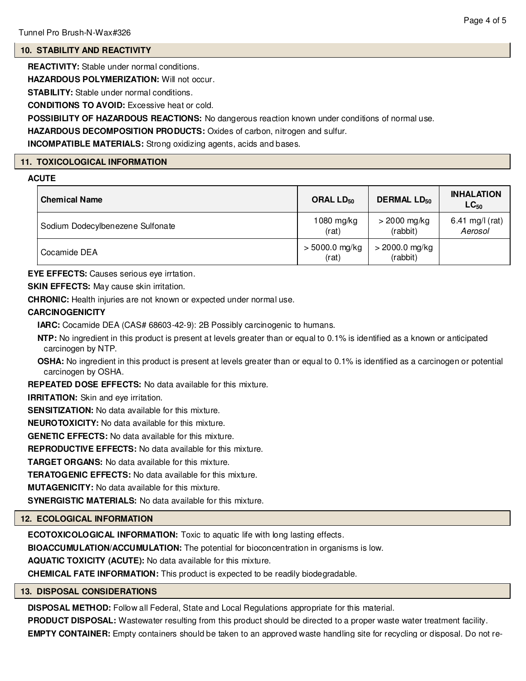# **10. STABILITY AND REACTIVITY**

**REACTIVITY:** Stable under normal conditions.

**HAZARDOUS POLYMERIZATION:** Will not occur.

**STABILITY:** Stable under normal conditions.

**CONDITIONS TO AVOID:** Excessive heat or cold.

**POSSIBILITY OF HAZARDOUS REACTIONS:** No dangerous reaction known under conditions of normal use.

**HAZARDOUS DECOMPOSITION PRODUCTS:** Oxides of carbon, nitrogen and sulfur.

**INCOMPATIBLE MATERIALS:** Strong oxidizing agents, acids and bases.

#### **11. TOXICOLOGICAL INFORMATION**

#### **ACUTE**

| <b>Chemical Name</b>             | ORAL $LD_{50}$            | <b>DERMAL LD<sub>50</sub></b> | <b>INHALATION</b><br>$LC_{50}$ |
|----------------------------------|---------------------------|-------------------------------|--------------------------------|
| Sodium Dodecylbenezene Sulfonate | 1080 mg/kg<br>(rat)       | $>$ 2000 mg/kg<br>(rabbit)    | 6.41 mg/l (rat)<br>Aerosol     |
| Cocamide DEA                     | $> 5000.0$ mg/kg<br>(rat) | > 2000.0 mg/kg<br>(rabbit)    |                                |

**EYE EFFECTS:** Causes serious eye irrtation.

**SKIN EFFECTS:** May cause skin irritation.

**CHRONIC:** Health injuries are not known or expected under normal use.

# **CARCINOGENICITY**

**IARC:** Cocamide DEA (CAS# 68603-42-9): 2B Possibly carcinogenic to humans.

- **NTP:** No ingredient in this product is present at levels greater than or equal to 0.1% is identified as a known or anticipated carcinogen by NTP.
- **OSHA:** No ingredient in this product is present at levels greater than or equal to 0.1% is identified as a carcinogen or potential carcinogen by OSHA.

**REPEATED DOSE EFFECTS:** No data available for this mixture.

**IRRITATION:** Skin and eye irritation.

**SENSITIZATION:** No data available for this mixture.

**NEUROTOXICITY:** No data available for this mixture.

**GENETIC EFFECTS:** No data available for this mixture.

**REPRODUCTIVE EFFECTS:** No data available for this mixture.

**TARGET ORGANS:** No data available for this mixture.

**TERATOGENIC EFFECTS:** No data available for this mixture.

**MUTAGENICITY:** No data available for this mixture.

**SYNERGISTIC MATERIALS:** No data available for this mixture.

# **12. ECOLOGICAL INFORMATION**

**ECOTOXICOLOGICAL INFORMATION:** Toxic to aquatic life with long lasting effects.

**BIOACCUMULATION/ACCUMULATION:** The potential for bioconcentration in organisms is low.

**AQUATIC TOXICITY (ACUTE):** No data available for this mixture.

**CHEMICAL FATE INFORMATION:** This product is expected to be readily biodegradable.

#### **13. DISPOSAL CONSIDERATIONS**

**DISPOSAL METHOD:** Follow all Federal, State and Local Regulations appropriate for this material.

**PRODUCT DISPOSAL:** Wastewater resulting from this product should be directed to a proper waste water treatment facility.

**EMPTY CONTAINER:** Empty containers should be taken to an approved waste handling site for recycling or disposal. Do not re-